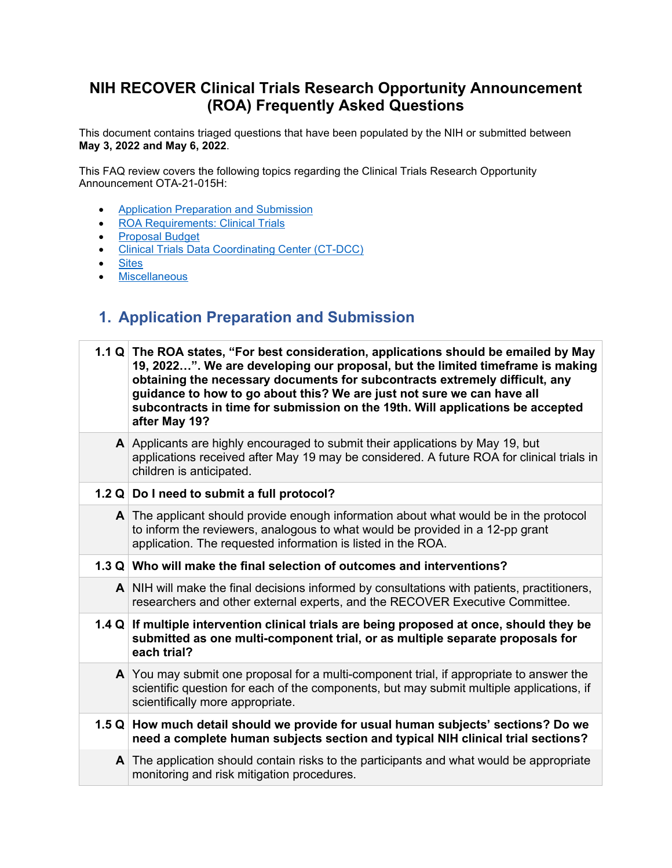#### **NIH RECOVER Clinical Trials Research Opportunity Announcement (ROA) Frequently Asked Questions**

This document contains triaged questions that have been populated by the NIH or submitted between **May 3, 2022 and May 6, 2022**.

This FAQ review covers the following topics regarding the Clinical Trials Research Opportunity Announcement OTA-21-015H:

- [Application Preparation and Submission](#page-0-0)
- [ROA Requirements: Clinical Trials](#page-2-0)
- [Proposal Budget](#page-2-1)
- [Clinical Trials Data Coordinating Center \(CT-DCC\)](#page-3-0)
- [Sites](#page-4-0)
- Miscellaneous

#### <span id="page-0-0"></span>**1. Application Preparation and Submission**

| 1.1 Q The ROA states, "For best consideration, applications should be emailed by May<br>19, 2022". We are developing our proposal, but the limited timeframe is making<br>obtaining the necessary documents for subcontracts extremely difficult, any<br>guidance to how to go about this? We are just not sure we can have all<br>subcontracts in time for submission on the 19th. Will applications be accepted<br>after May 19? |
|------------------------------------------------------------------------------------------------------------------------------------------------------------------------------------------------------------------------------------------------------------------------------------------------------------------------------------------------------------------------------------------------------------------------------------|
| A Applicants are highly encouraged to submit their applications by May 19, but<br>applications received after May 19 may be considered. A future ROA for clinical trials in<br>children is anticipated.                                                                                                                                                                                                                            |
| 1.2 Q Do I need to submit a full protocol?                                                                                                                                                                                                                                                                                                                                                                                         |
| $\mathsf{A}$ The applicant should provide enough information about what would be in the protocol<br>to inform the reviewers, analogous to what would be provided in a 12-pp grant<br>application. The requested information is listed in the ROA.                                                                                                                                                                                  |
| 1.3 Q Who will make the final selection of outcomes and interventions?                                                                                                                                                                                                                                                                                                                                                             |
| $\mathsf{A}$ NIH will make the final decisions informed by consultations with patients, practitioners,<br>researchers and other external experts, and the RECOVER Executive Committee.                                                                                                                                                                                                                                             |
| 1.4 Q If multiple intervention clinical trials are being proposed at once, should they be<br>submitted as one multi-component trial, or as multiple separate proposals for<br>each trial?                                                                                                                                                                                                                                          |
| $\mathsf{A}$ You may submit one proposal for a multi-component trial, if appropriate to answer the<br>scientific question for each of the components, but may submit multiple applications, if<br>scientifically more appropriate.                                                                                                                                                                                                 |
| 1.5 Q How much detail should we provide for usual human subjects' sections? Do we<br>need a complete human subjects section and typical NIH clinical trial sections?                                                                                                                                                                                                                                                               |
| A The application should contain risks to the participants and what would be appropriate<br>monitoring and risk mitigation procedures.                                                                                                                                                                                                                                                                                             |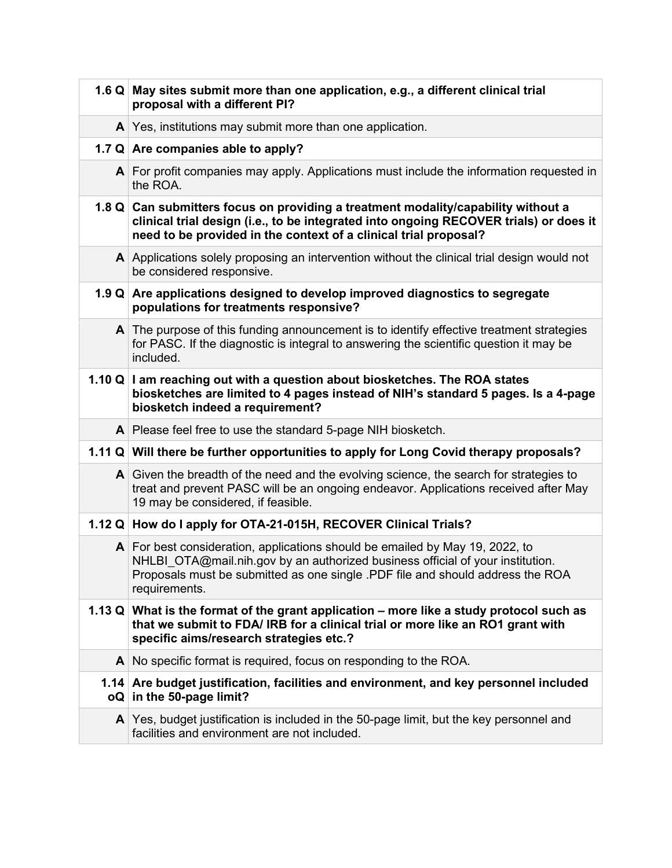| 1.6 Q May sites submit more than one application, e.g., a different clinical trial<br>proposal with a different PI?                                                                                                                                                          |
|------------------------------------------------------------------------------------------------------------------------------------------------------------------------------------------------------------------------------------------------------------------------------|
| $\mathbf{A}$ Yes, institutions may submit more than one application.                                                                                                                                                                                                         |
| 1.7 Q Are companies able to apply?                                                                                                                                                                                                                                           |
| $\mathsf{A}$ For profit companies may apply. Applications must include the information requested in<br>the ROA.                                                                                                                                                              |
| 1.8 Q Can submitters focus on providing a treatment modality/capability without a<br>clinical trial design (i.e., to be integrated into ongoing RECOVER trials) or does it<br>need to be provided in the context of a clinical trial proposal?                               |
| A Applications solely proposing an intervention without the clinical trial design would not<br>be considered responsive.                                                                                                                                                     |
| 1.9 Q Are applications designed to develop improved diagnostics to segregate<br>populations for treatments responsive?                                                                                                                                                       |
| $\mathsf{A}$ The purpose of this funding announcement is to identify effective treatment strategies<br>for PASC. If the diagnostic is integral to answering the scientific question it may be<br>included.                                                                   |
| 1.10 Q I am reaching out with a question about biosketches. The ROA states<br>biosketches are limited to 4 pages instead of NIH's standard 5 pages. Is a 4-page<br>biosketch indeed a requirement?                                                                           |
| A Please feel free to use the standard 5-page NIH biosketch.                                                                                                                                                                                                                 |
| 1.11 Q Will there be further opportunities to apply for Long Covid therapy proposals?                                                                                                                                                                                        |
| $\mathsf{A}$ Given the breadth of the need and the evolving science, the search for strategies to<br>treat and prevent PASC will be an ongoing endeavor. Applications received after May<br>19 may be considered, if feasible.                                               |
| 1.12 Q How do I apply for OTA-21-015H, RECOVER Clinical Trials?                                                                                                                                                                                                              |
| $\mathsf{A}$ For best consideration, applications should be emailed by May 19, 2022, to<br>NHLBI OTA@mail.nih.gov by an authorized business official of your institution.<br>Proposals must be submitted as one single .PDF file and should address the ROA<br>requirements. |
| 1.13 Q What is the format of the grant application – more like a study protocol such as<br>that we submit to FDA/ IRB for a clinical trial or more like an RO1 grant with<br>specific aims/research strategies etc.?                                                         |
| A No specific format is required, focus on responding to the ROA.                                                                                                                                                                                                            |
| 1.14 Are budget justification, facilities and environment, and key personnel included<br>$oQ$ in the 50-page limit?                                                                                                                                                          |
| $\mathsf{A}$ Yes, budget justification is included in the 50-page limit, but the key personnel and<br>facilities and environment are not included.                                                                                                                           |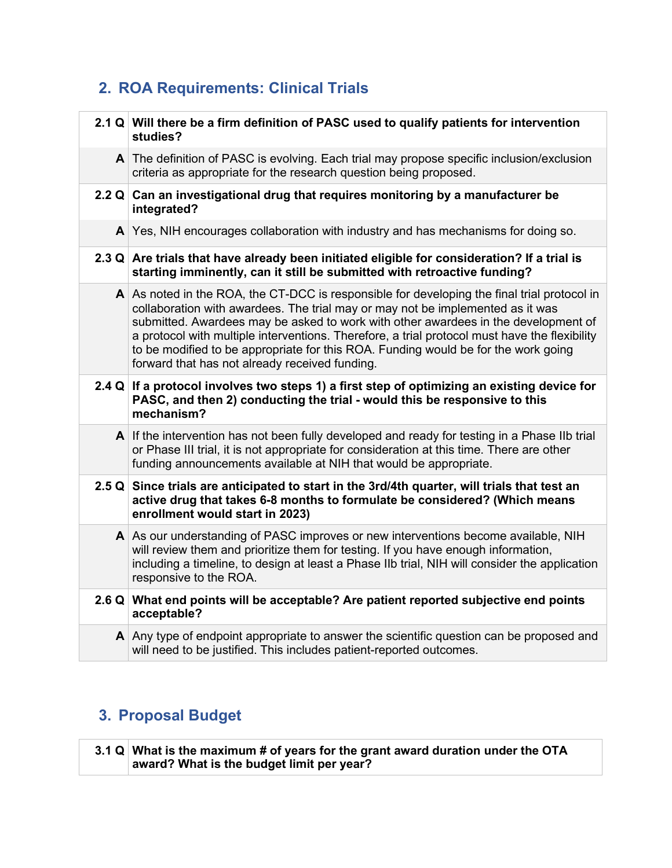## <span id="page-2-0"></span>**2. ROA Requirements: Clinical Trials**

| 2.1 $Q$ Will there be a firm definition of PASC used to qualify patients for intervention<br>studies?                                                                                                                                                                                                                                                                                                                                                                                                                   |
|-------------------------------------------------------------------------------------------------------------------------------------------------------------------------------------------------------------------------------------------------------------------------------------------------------------------------------------------------------------------------------------------------------------------------------------------------------------------------------------------------------------------------|
| A The definition of PASC is evolving. Each trial may propose specific inclusion/exclusion<br>criteria as appropriate for the research question being proposed.                                                                                                                                                                                                                                                                                                                                                          |
| 2.2 $Q$ Can an investigational drug that requires monitoring by a manufacturer be<br>integrated?                                                                                                                                                                                                                                                                                                                                                                                                                        |
| $\mathsf{A}$ Yes, NIH encourages collaboration with industry and has mechanisms for doing so.                                                                                                                                                                                                                                                                                                                                                                                                                           |
| 2.3 Q Are trials that have already been initiated eligible for consideration? If a trial is<br>starting imminently, can it still be submitted with retroactive funding?                                                                                                                                                                                                                                                                                                                                                 |
| $\mathsf{A}$ As noted in the ROA, the CT-DCC is responsible for developing the final trial protocol in<br>collaboration with awardees. The trial may or may not be implemented as it was<br>submitted. Awardees may be asked to work with other awardees in the development of<br>a protocol with multiple interventions. Therefore, a trial protocol must have the flexibility<br>to be modified to be appropriate for this ROA. Funding would be for the work going<br>forward that has not already received funding. |
| 2.4 $Q$ If a protocol involves two steps 1) a first step of optimizing an existing device for<br>PASC, and then 2) conducting the trial - would this be responsive to this<br>mechanism?                                                                                                                                                                                                                                                                                                                                |
| $\mathsf{A}$ If the intervention has not been fully developed and ready for testing in a Phase IIb trial<br>or Phase III trial, it is not appropriate for consideration at this time. There are other<br>funding announcements available at NIH that would be appropriate.                                                                                                                                                                                                                                              |
| 2.5 Q Since trials are anticipated to start in the 3rd/4th quarter, will trials that test an<br>active drug that takes 6-8 months to formulate be considered? (Which means<br>enrollment would start in 2023)                                                                                                                                                                                                                                                                                                           |
| A As our understanding of PASC improves or new interventions become available, NIH<br>will review them and prioritize them for testing. If you have enough information,<br>including a timeline, to design at least a Phase IIb trial, NIH will consider the application<br>responsive to the ROA.                                                                                                                                                                                                                      |
| 2.6 Q What end points will be acceptable? Are patient reported subjective end points<br>acceptable?                                                                                                                                                                                                                                                                                                                                                                                                                     |
| $\mathsf{A}$ Any type of endpoint appropriate to answer the scientific question can be proposed and<br>will need to be justified. This includes patient-reported outcomes.                                                                                                                                                                                                                                                                                                                                              |

## <span id="page-2-1"></span>**3. Proposal Budget**

| 3.1 Q What is the maximum # of years for the grant award duration under the OTA |
|---------------------------------------------------------------------------------|
| award? What is the budget limit per year?                                       |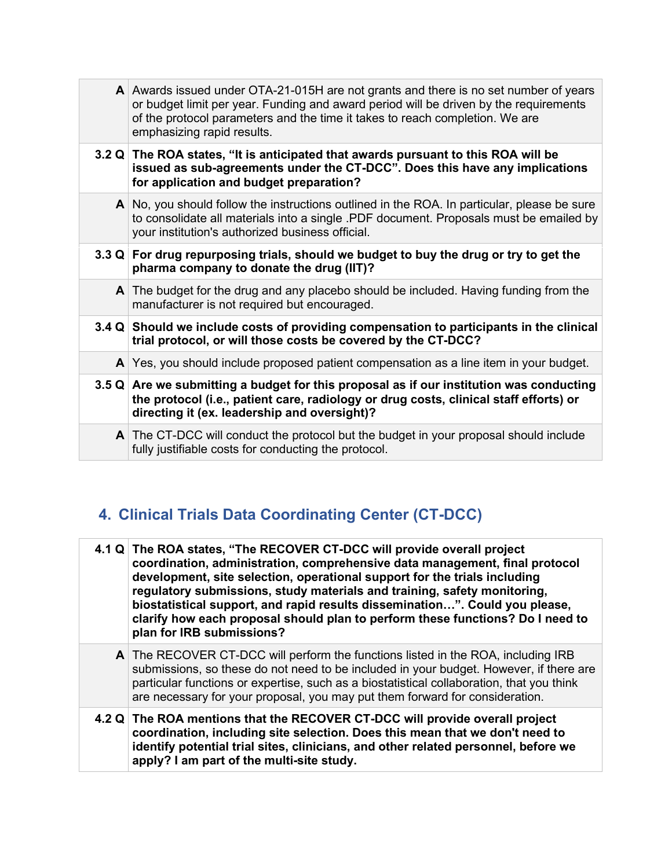| A Awards issued under OTA-21-015H are not grants and there is no set number of years<br>or budget limit per year. Funding and award period will be driven by the requirements<br>of the protocol parameters and the time it takes to reach completion. We are<br>emphasizing rapid results. |
|---------------------------------------------------------------------------------------------------------------------------------------------------------------------------------------------------------------------------------------------------------------------------------------------|
| 3.2 Q The ROA states, "It is anticipated that awards pursuant to this ROA will be<br>issued as sub-agreements under the CT-DCC". Does this have any implications<br>for application and budget preparation?                                                                                 |
| $\mathsf{A}$ No, you should follow the instructions outlined in the ROA. In particular, please be sure<br>to consolidate all materials into a single .PDF document. Proposals must be emailed by<br>your institution's authorized business official.                                        |
| 3.3 Q For drug repurposing trials, should we budget to buy the drug or try to get the<br>pharma company to donate the drug (IIT)?                                                                                                                                                           |
| $\mathsf{A}$ The budget for the drug and any placebo should be included. Having funding from the<br>manufacturer is not required but encouraged.                                                                                                                                            |
| 3.4 Q Should we include costs of providing compensation to participants in the clinical<br>trial protocol, or will those costs be covered by the CT-DCC?                                                                                                                                    |
| $\mathsf{A}$ Yes, you should include proposed patient compensation as a line item in your budget.                                                                                                                                                                                           |
| 3.5 $Q$ Are we submitting a budget for this proposal as if our institution was conducting<br>the protocol (i.e., patient care, radiology or drug costs, clinical staff efforts) or<br>directing it (ex. leadership and oversight)?                                                          |
| A The CT-DCC will conduct the protocol but the budget in your proposal should include<br>fully justifiable costs for conducting the protocol.                                                                                                                                               |

# <span id="page-3-0"></span>**4. Clinical Trials Data Coordinating Center (CT-DCC)**

| 4.1 Q The ROA states, "The RECOVER CT-DCC will provide overall project<br>coordination, administration, comprehensive data management, final protocol<br>development, site selection, operational support for the trials including<br>regulatory submissions, study materials and training, safety monitoring,<br>biostatistical support, and rapid results dissemination". Could you please,<br>clarify how each proposal should plan to perform these functions? Do I need to<br>plan for IRB submissions? |
|--------------------------------------------------------------------------------------------------------------------------------------------------------------------------------------------------------------------------------------------------------------------------------------------------------------------------------------------------------------------------------------------------------------------------------------------------------------------------------------------------------------|
| A The RECOVER CT-DCC will perform the functions listed in the ROA, including IRB<br>submissions, so these do not need to be included in your budget. However, if there are<br>particular functions or expertise, such as a biostatistical collaboration, that you think<br>are necessary for your proposal, you may put them forward for consideration.                                                                                                                                                      |
| 4.2 Q The ROA mentions that the RECOVER CT-DCC will provide overall project<br>coordination, including site selection. Does this mean that we don't need to<br>identify potential trial sites, clinicians, and other related personnel, before we<br>apply? I am part of the multi-site study.                                                                                                                                                                                                               |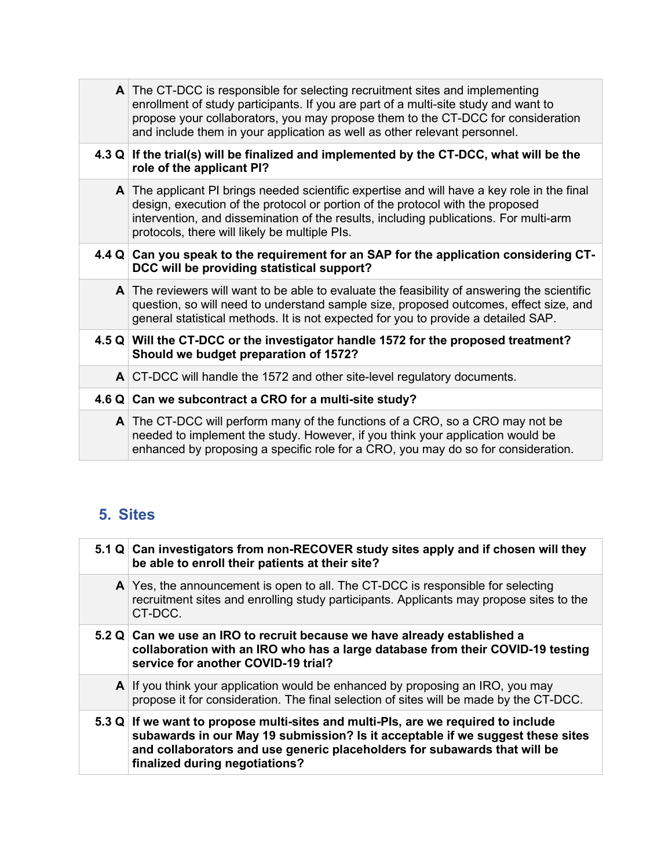| A The CT-DCC is responsible for selecting recruitment sites and implementing<br>enrollment of study participants. If you are part of a multi-site study and want to<br>propose your collaborators, you may propose them to the CT-DCC for consideration<br>and include them in your application as well as other relevant personnel. |
|--------------------------------------------------------------------------------------------------------------------------------------------------------------------------------------------------------------------------------------------------------------------------------------------------------------------------------------|
| 4.3 Q If the trial(s) will be finalized and implemented by the CT-DCC, what will be the<br>role of the applicant PI?                                                                                                                                                                                                                 |
| $\mathsf{A}$ The applicant PI brings needed scientific expertise and will have a key role in the final<br>design, execution of the protocol or portion of the protocol with the proposed<br>intervention, and dissemination of the results, including publications. For multi-arm<br>protocols, there will likely be multiple PIs.   |
| 4.4 Q Can you speak to the requirement for an SAP for the application considering CT-<br>DCC will be providing statistical support?                                                                                                                                                                                                  |
| $\mathsf{A}$ The reviewers will want to be able to evaluate the feasibility of answering the scientific<br>question, so will need to understand sample size, proposed outcomes, effect size, and<br>general statistical methods. It is not expected for you to provide a detailed SAP.                                               |
| 4.5 Q Will the CT-DCC or the investigator handle 1572 for the proposed treatment?<br>Should we budget preparation of 1572?                                                                                                                                                                                                           |
| $\mathsf{A}$ CT-DCC will handle the 1572 and other site-level regulatory documents.                                                                                                                                                                                                                                                  |
| 4.6 Q Can we subcontract a CRO for a multi-site study?                                                                                                                                                                                                                                                                               |
| $\mathsf{A}$ The CT-DCC will perform many of the functions of a CRO, so a CRO may not be<br>needed to implement the study. However, if you think your application would be<br>enhanced by proposing a specific role for a CRO, you may do so for consideration.                                                                      |

### <span id="page-4-0"></span>**5. Sites**

| 5.1 Q Can investigators from non-RECOVER study sites apply and if chosen will they<br>be able to enroll their patients at their site?                                                                                                                                              |
|------------------------------------------------------------------------------------------------------------------------------------------------------------------------------------------------------------------------------------------------------------------------------------|
| $\mathsf{A}$ Yes, the announcement is open to all. The CT-DCC is responsible for selecting<br>recruitment sites and enrolling study participants. Applicants may propose sites to the<br>CT-DCC.                                                                                   |
| 5.2 Q Can we use an IRO to recruit because we have already established a<br>collaboration with an IRO who has a large database from their COVID-19 testing<br>service for another COVID-19 trial?                                                                                  |
| A If you think your application would be enhanced by proposing an IRO, you may<br>propose it for consideration. The final selection of sites will be made by the CT-DCC.                                                                                                           |
| 5.3 Q If we want to propose multi-sites and multi-Pls, are we required to include<br>subawards in our May 19 submission? Is it acceptable if we suggest these sites<br>and collaborators and use generic placeholders for subawards that will be<br>finalized during negotiations? |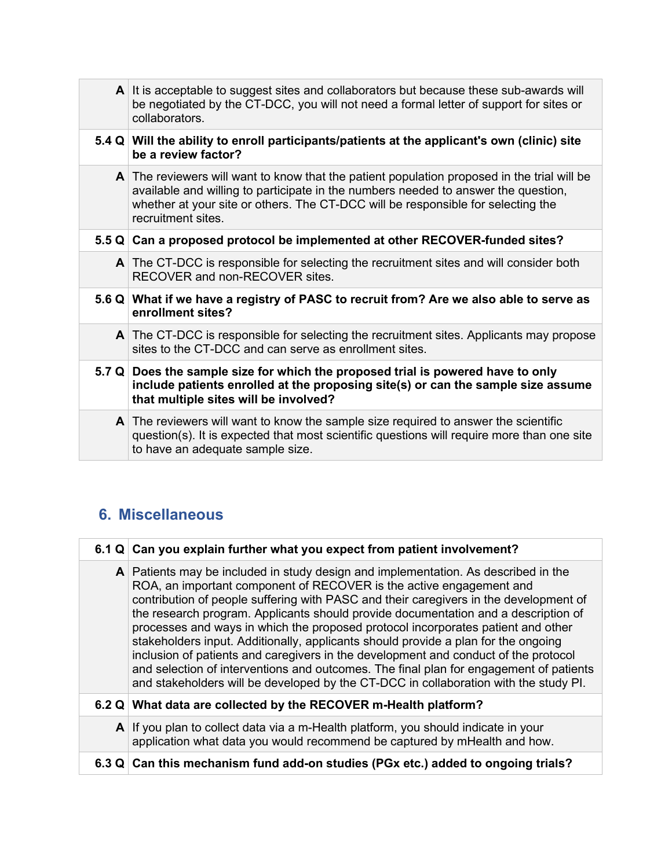|              | A It is acceptable to suggest sites and collaborators but because these sub-awards will<br>be negotiated by the CT-DCC, you will not need a formal letter of support for sites or<br>collaborators.                                                                                                    |
|--------------|--------------------------------------------------------------------------------------------------------------------------------------------------------------------------------------------------------------------------------------------------------------------------------------------------------|
|              | 5.4 Q Will the ability to enroll participants/patients at the applicant's own (clinic) site<br>be a review factor?                                                                                                                                                                                     |
|              | $\mathsf{A}$ The reviewers will want to know that the patient population proposed in the trial will be<br>available and willing to participate in the numbers needed to answer the question,<br>whether at your site or others. The CT-DCC will be responsible for selecting the<br>recruitment sites. |
|              | 5.5 Q Can a proposed protocol be implemented at other RECOVER-funded sites?                                                                                                                                                                                                                            |
|              | $\mathsf{A}$ The CT-DCC is responsible for selecting the recruitment sites and will consider both<br>RECOVER and non-RECOVER sites.                                                                                                                                                                    |
|              | 5.6 Q What if we have a registry of PASC to recruit from? Are we also able to serve as<br>enrollment sites?                                                                                                                                                                                            |
|              | A The CT-DCC is responsible for selecting the recruitment sites. Applicants may propose<br>sites to the CT-DCC and can serve as enrollment sites.                                                                                                                                                      |
|              | 5.7 Q Does the sample size for which the proposed trial is powered have to only<br>include patients enrolled at the proposing site(s) or can the sample size assume<br>that multiple sites will be involved?                                                                                           |
| $\mathsf{A}$ | The reviewers will want to know the sample size required to answer the scientific<br>question(s). It is expected that most scientific questions will require more than one site<br>to have an adequate sample size.                                                                                    |

### **6. Miscellaneous**

| 6.1 Q Can you explain further what you expect from patient involvement?                                                                                                                                                                                                                                                                                                                                                                                                                                                                                                                                                                                                                                                                                                                     |
|---------------------------------------------------------------------------------------------------------------------------------------------------------------------------------------------------------------------------------------------------------------------------------------------------------------------------------------------------------------------------------------------------------------------------------------------------------------------------------------------------------------------------------------------------------------------------------------------------------------------------------------------------------------------------------------------------------------------------------------------------------------------------------------------|
| A Patients may be included in study design and implementation. As described in the<br>ROA, an important component of RECOVER is the active engagement and<br>contribution of people suffering with PASC and their caregivers in the development of<br>the research program. Applicants should provide documentation and a description of<br>processes and ways in which the proposed protocol incorporates patient and other<br>stakeholders input. Additionally, applicants should provide a plan for the ongoing<br>inclusion of patients and caregivers in the development and conduct of the protocol<br>and selection of interventions and outcomes. The final plan for engagement of patients<br>and stakeholders will be developed by the CT-DCC in collaboration with the study PI. |
| 6.2 Q What data are collected by the RECOVER m-Health platform?                                                                                                                                                                                                                                                                                                                                                                                                                                                                                                                                                                                                                                                                                                                             |
| A If you plan to collect data via a m-Health platform, you should indicate in your<br>application what data you would recommend be captured by mHealth and how.                                                                                                                                                                                                                                                                                                                                                                                                                                                                                                                                                                                                                             |
| 6.3 Q Can this mechanism fund add-on studies (PGx etc.) added to ongoing trials?                                                                                                                                                                                                                                                                                                                                                                                                                                                                                                                                                                                                                                                                                                            |